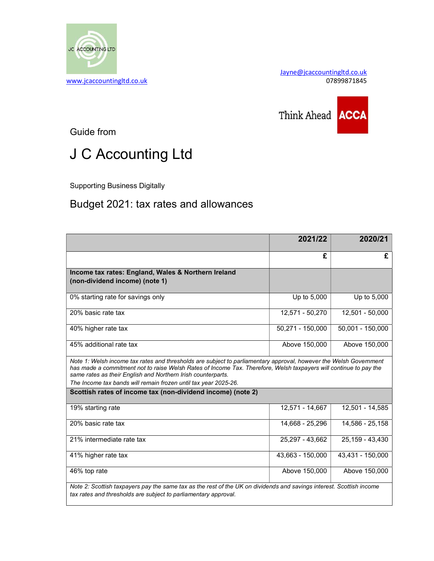

Jayne@jcaccountingltd.co.uk



Guide from

## J C Accounting Ltd

Supporting Business Digitally

## Budget 2021: tax rates and allowances

|                                                                                                                                                                                                                                                                                                                                                                           | 2021/22          | 2020/21          |
|---------------------------------------------------------------------------------------------------------------------------------------------------------------------------------------------------------------------------------------------------------------------------------------------------------------------------------------------------------------------------|------------------|------------------|
|                                                                                                                                                                                                                                                                                                                                                                           | £                | £                |
| Income tax rates: England, Wales & Northern Ireland<br>(non-dividend income) (note 1)                                                                                                                                                                                                                                                                                     |                  |                  |
| 0% starting rate for savings only                                                                                                                                                                                                                                                                                                                                         | Up to 5,000      | Up to 5,000      |
| 20% basic rate tax                                                                                                                                                                                                                                                                                                                                                        | 12,571 - 50,270  | 12,501 - 50,000  |
| 40% higher rate tax                                                                                                                                                                                                                                                                                                                                                       | 50,271 - 150,000 | 50,001 - 150,000 |
| 45% additional rate tax                                                                                                                                                                                                                                                                                                                                                   | Above 150,000    | Above 150,000    |
| Note 1: Welsh income tax rates and thresholds are subject to parliamentary approval, however the Welsh Government<br>has made a commitment not to raise Welsh Rates of Income Tax. Therefore, Welsh taxpayers will continue to pay the<br>same rates as their English and Northern Irish counterparts.<br>The Income tax bands will remain frozen until tax year 2025-26. |                  |                  |
| Scottish rates of income tax (non-dividend income) (note 2)                                                                                                                                                                                                                                                                                                               |                  |                  |
| 19% starting rate                                                                                                                                                                                                                                                                                                                                                         | 12,571 - 14,667  | 12,501 - 14,585  |
| 20% basic rate tax                                                                                                                                                                                                                                                                                                                                                        | 14,668 - 25,296  | 14,586 - 25,158  |
| 21% intermediate rate tax                                                                                                                                                                                                                                                                                                                                                 | 25,297 - 43,662  | 25,159 - 43,430  |
| 41% higher rate tax                                                                                                                                                                                                                                                                                                                                                       | 43,663 - 150,000 | 43,431 - 150,000 |
| 46% top rate                                                                                                                                                                                                                                                                                                                                                              | Above 150,000    | Above 150,000    |
| Note 2: Scottish taxpayers pay the same tax as the rest of the UK on dividends and savings interest. Scottish income<br>tax rates and thresholds are subject to parliamentary approval.                                                                                                                                                                                   |                  |                  |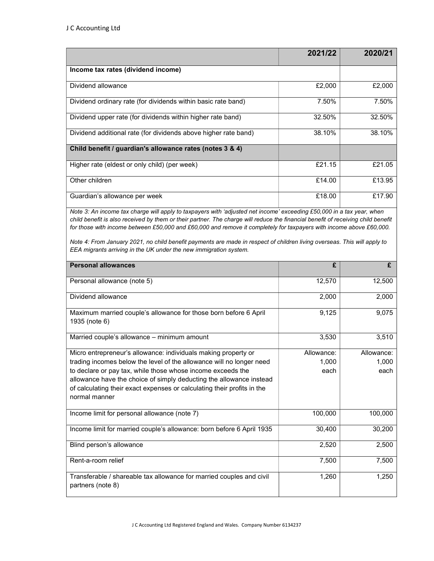|                                                                 | 2021/22 | 2020/21 |
|-----------------------------------------------------------------|---------|---------|
| Income tax rates (dividend income)                              |         |         |
| Dividend allowance                                              | £2,000  | £2,000  |
| Dividend ordinary rate (for dividends within basic rate band)   | 7.50%   | 7.50%   |
| Dividend upper rate (for dividends within higher rate band)     | 32.50%  | 32.50%  |
| Dividend additional rate (for dividends above higher rate band) | 38.10%  | 38.10%  |
| Child benefit / guardian's allowance rates (notes 3 & 4)        |         |         |
| Higher rate (eldest or only child) (per week)                   | £21.15  | £21.05  |
| Other children                                                  | £14.00  | £13.95  |
| Guardian's allowance per week                                   | £18.00  | £17.90  |

Note 3: An income tax charge will apply to taxpayers with 'adjusted net income' exceeding £50,000 in a tax year, when child benefit is also received by them or their partner. The charge will reduce the financial benefit of receiving child benefit for those with income between £50,000 and £60,000 and remove it completely for taxpayers with income above £60,000.

Note 4: From January 2021, no child benefit payments are made in respect of children living overseas. This will apply to EEA migrants arriving in the UK under the new immigration system.

| <b>Personal allowances</b>                                                                                                                                                                                                     | £          | £          |
|--------------------------------------------------------------------------------------------------------------------------------------------------------------------------------------------------------------------------------|------------|------------|
| Personal allowance (note 5)                                                                                                                                                                                                    | 12,570     | 12,500     |
| Dividend allowance                                                                                                                                                                                                             | 2,000      | 2,000      |
| Maximum married couple's allowance for those born before 6 April<br>1935 (note 6)                                                                                                                                              | 9,125      | 9,075      |
| Married couple's allowance - minimum amount                                                                                                                                                                                    | 3,530      | 3,510      |
| Micro entrepreneur's allowance: individuals making property or                                                                                                                                                                 | Allowance: | Allowance: |
| trading incomes below the level of the allowance will no longer need                                                                                                                                                           | 1,000      | 1,000      |
| to declare or pay tax, while those whose income exceeds the<br>allowance have the choice of simply deducting the allowance instead<br>of calculating their exact expenses or calculating their profits in the<br>normal manner | each       | each       |
| Income limit for personal allowance (note 7)                                                                                                                                                                                   | 100,000    | 100,000    |
| Income limit for married couple's allowance: born before 6 April 1935                                                                                                                                                          | 30,400     | 30,200     |
| Blind person's allowance                                                                                                                                                                                                       | 2,520      | 2,500      |
| Rent-a-room relief                                                                                                                                                                                                             | 7,500      | 7,500      |
| Transferable / shareable tax allowance for married couples and civil<br>partners (note 8)                                                                                                                                      | 1,260      | 1,250      |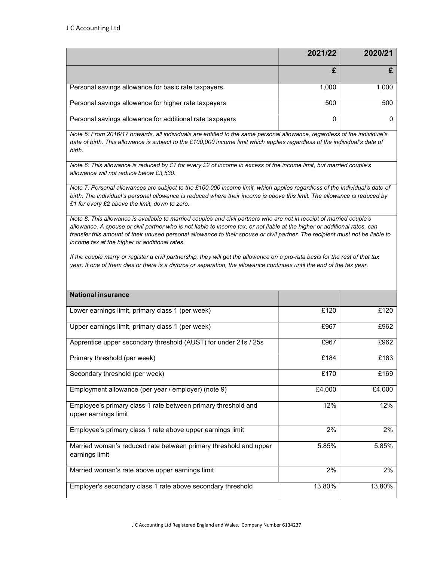|                                                          | 2021/22 | 2020/21 |
|----------------------------------------------------------|---------|---------|
|                                                          |         |         |
| Personal savings allowance for basic rate taxpayers      | 1,000   | 1.000   |
| Personal savings allowance for higher rate taxpayers     | 500     | 500     |
| Personal savings allowance for additional rate taxpayers |         |         |

Note 5: From 2016/17 onwards, all individuals are entitled to the same personal allowance, regardless of the individual's date of birth. This allowance is subject to the £100,000 income limit which applies regardless of the individual's date of birth.

Note 6: This allowance is reduced by £1 for every £2 of income in excess of the income limit, but married couple's allowance will not reduce below £3,530.

Note 7: Personal allowances are subject to the £100,000 income limit, which applies regardless of the individual's date of birth. The individual's personal allowance is reduced where their income is above this limit. The allowance is reduced by £1 for every £2 above the limit, down to zero.

Note 8: This allowance is available to married couples and civil partners who are not in receipt of married couple's allowance. A spouse or civil partner who is not liable to income tax, or not liable at the higher or additional rates, can transfer this amount of their unused personal allowance to their spouse or civil partner. The recipient must not be liable to income tax at the higher or additional rates.

If the couple marry or register a civil partnership, they will get the allowance on a pro-rata basis for the rest of that tax year. If one of them dies or there is a divorce or separation, the allowance continues until the end of the tax year.

| <b>National insurance</b>                                                             |        |        |
|---------------------------------------------------------------------------------------|--------|--------|
| Lower earnings limit, primary class 1 (per week)                                      | £120   | £120   |
| Upper earnings limit, primary class 1 (per week)                                      | £967   | £962   |
| Apprentice upper secondary threshold (AUST) for under 21s / 25s                       | £967   | £962   |
| Primary threshold (per week)                                                          | £184   | £183   |
| Secondary threshold (per week)                                                        | £170   | £169   |
| Employment allowance (per year / employer) (note 9)                                   | £4,000 | £4,000 |
| Employee's primary class 1 rate between primary threshold and<br>upper earnings limit | 12%    | 12%    |
| Employee's primary class 1 rate above upper earnings limit                            | 2%     | 2%     |
| Married woman's reduced rate between primary threshold and upper<br>earnings limit    | 5.85%  | 5.85%  |
| Married woman's rate above upper earnings limit                                       | 2%     | 2%     |
| Employer's secondary class 1 rate above secondary threshold                           | 13.80% | 13.80% |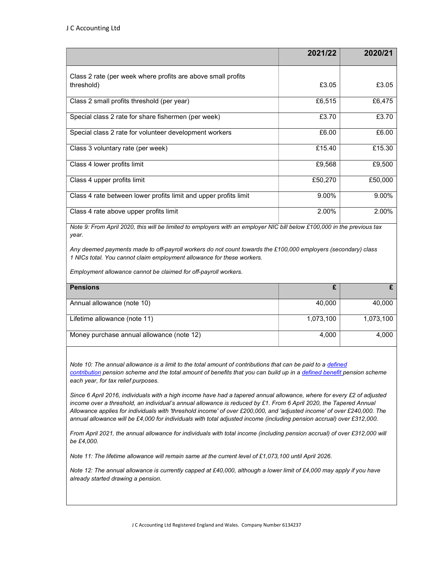|                                                                            | 2021/22 | 2020/21 |
|----------------------------------------------------------------------------|---------|---------|
| Class 2 rate (per week where profits are above small profits<br>threshold) | £3.05   | £3.05   |
| Class 2 small profits threshold (per year)                                 | £6,515  | £6,475  |
| Special class 2 rate for share fishermen (per week)                        | £3.70   | £3.70   |
| Special class 2 rate for volunteer development workers                     | £6.00   | £6.00   |
| Class 3 voluntary rate (per week)                                          | £15.40  | £15.30  |
| Class 4 lower profits limit                                                | £9,568  | £9,500  |
| Class 4 upper profits limit                                                | £50,270 | £50,000 |
| Class 4 rate between lower profits limit and upper profits limit           | 9.00%   | 9.00%   |
| Class 4 rate above upper profits limit                                     | 2.00%   | 2.00%   |

Note 9: From April 2020, this will be limited to employers with an employer NIC bill below £100,000 in the previous tax year.

Any deemed payments made to off-payroll workers do not count towards the £100,000 employers (secondary) class 1 NICs total. You cannot claim employment allowance for these workers.

Employment allowance cannot be claimed for off-payroll workers.

| <b>Pensions</b>                           |           |           |
|-------------------------------------------|-----------|-----------|
| Annual allowance (note 10)                | 40.000    | 40,000    |
| Lifetime allowance (note 11)              | 1,073,100 | 1,073,100 |
| Money purchase annual allowance (note 12) | 4,000     | 4.000     |

Note 10: The annual allowance is a limit to the total amount of contributions that can be paid to a defined contribution pension scheme and the total amount of benefits that you can build up in a defined benefit pension scheme each year, for tax relief purposes.

Since 6 April 2016, individuals with a high income have had a tapered annual allowance, where for every £2 of adjusted income over a threshold, an individual's annual allowance is reduced by £1. From 6 April 2020, the Tapered Annual Allowance applies for individuals with 'threshold income' of over £200,000, and 'adjusted income' of over £240,000. The annual allowance will be £4,000 for individuals with total adjusted income (including pension accrual) over £312,000.

From April 2021, the annual allowance for individuals with total income (including pension accrual) of over £312,000 will be £4,000.

Note 11: The lifetime allowance will remain same at the current level of £1,073,100 until April 2026.

Note 12: The annual allowance is currently capped at £40,000, although a lower limit of £4,000 may apply if you have already started drawing a pension.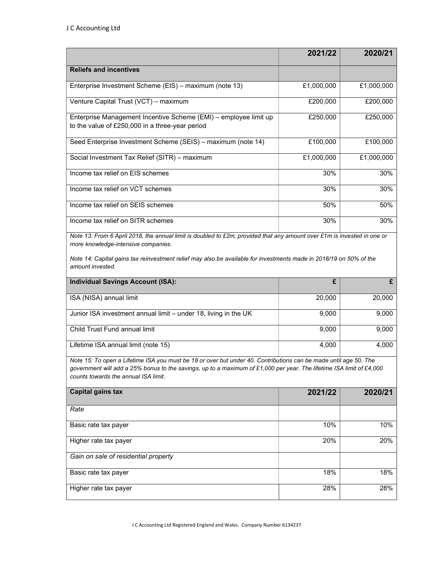more knowledge-intensive companies.

|                                                                                                                         | 2021/22    | 2020/21    |
|-------------------------------------------------------------------------------------------------------------------------|------------|------------|
| <b>Reliefs and incentives</b>                                                                                           |            |            |
| Enterprise Investment Scheme (EIS) – maximum (note 13)                                                                  | £1,000,000 | £1,000,000 |
| Venture Capital Trust (VCT) – maximum                                                                                   | £200,000   | £200,000   |
| Enterprise Management Incentive Scheme (EMI) – employee limit up<br>to the value of £250,000 in a three-year period     | £250,000   | £250,000   |
| Seed Enterprise Investment Scheme (SEIS) - maximum (note 14)                                                            | £100,000   | £100,000   |
| Social Investment Tax Relief (SITR) – maximum                                                                           | £1,000,000 | £1,000,000 |
| Income tax relief on EIS schemes                                                                                        | 30%        | 30%        |
| Income tax relief on VCT schemes                                                                                        | 30%        | 30%        |
| Income tax relief on SEIS schemes                                                                                       | 50%        | 50%        |
| Income tax relief on SITR schemes                                                                                       | 30%        | 30%        |
| Note 13: From 6 April 2018, the annual limit is doubled to £2m, provided that any amount over £1m is invested in one or |            |            |

Note 14: Capital gains tax reinvestment relief may also be available for investments made in 2018/19 on 50% of the amount invested.

| <b>Individual Savings Account (ISA):</b>                        |        | £      |
|-----------------------------------------------------------------|--------|--------|
| ISA (NISA) annual limit                                         | 20,000 | 20,000 |
| Junior ISA investment annual limit – under 18, living in the UK | 9,000  | 9,000  |
| Child Trust Fund annual limit                                   | 9,000  | 9,000  |
| Lifetime ISA annual limit (note 15)                             | 4,000  | 4.000  |

Note 15: To open a Lifetime ISA you must be 18 or over but under 40. Contributions can be made until age 50. The government will add a 25% bonus to the savings, up to a maximum of £1,000 per year. The lifetime ISA limit of £4,000 counts towards the annual ISA limit.

| Capital gains tax                    | 2021/22 | 2020/21 |
|--------------------------------------|---------|---------|
| Rate                                 |         |         |
| Basic rate tax payer                 | 10%     | 10%     |
| Higher rate tax payer                | 20%     | 20%     |
| Gain on sale of residential property |         |         |
| Basic rate tax payer                 | 18%     | 18%     |
| Higher rate tax payer                | 28%     | 28%     |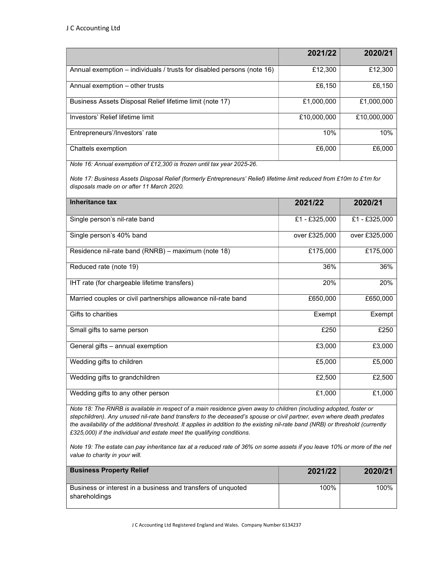|                                                                        | 2021/22     | 2020/21     |
|------------------------------------------------------------------------|-------------|-------------|
| Annual exemption – individuals / trusts for disabled persons (note 16) | £12,300     | £12,300     |
| Annual exemption – other trusts                                        | £6,150      | £6,150      |
| Business Assets Disposal Relief lifetime limit (note 17)               | £1,000,000  | £1,000,000  |
| Investors' Relief lifetime limit                                       | £10,000,000 | £10,000,000 |
| Entrepreneurs'/Investors' rate                                         | 10%         | 10%         |
| Chattels exemption                                                     | £6,000      | £6,000      |

Note 16: Annual exemption of £12,300 is frozen until tax year 2025-26.

Note 17: Business Assets Disposal Relief (formerly Entrepreneurs' Relief) lifetime limit reduced from £10m to £1m for disposals made on or after 11 March 2020.

| Inheritance tax                                               | 2021/22       | 2020/21       |
|---------------------------------------------------------------|---------------|---------------|
| Single person's nil-rate band                                 | £1 - £325,000 | £1 - £325,000 |
| Single person's 40% band                                      | over £325,000 | over £325,000 |
| Residence nil-rate band (RNRB) - maximum (note 18)            | £175,000      | £175,000      |
| Reduced rate (note 19)                                        | 36%           | 36%           |
| IHT rate (for chargeable lifetime transfers)                  | 20%           | 20%           |
| Married couples or civil partnerships allowance nil-rate band | £650,000      | £650,000      |
| Gifts to charities                                            | Exempt        | Exempt        |
| Small gifts to same person                                    | £250          | £250          |
| General gifts - annual exemption                              | £3,000        | £3,000        |
| Wedding gifts to children                                     | £5,000        | £5,000        |
| Wedding gifts to grandchildren                                | £2,500        | £2,500        |
| Wedding gifts to any other person                             | £1,000        | £1,000        |

Note 18: The RNRB is available in respect of a main residence given away to children (including adopted, foster or stepchildren). Any unused nil-rate band transfers to the deceased's spouse or civil partner, even where death predates the availability of the additional threshold. It applies in addition to the existing nil-rate band (NRB) or threshold (currently £325,000) if the individual and estate meet the qualifying conditions.

Note 19: The estate can pay inheritance tax at a reduced rate of 36% on some assets if you leave 10% or more of the net value to charity in your will.

| <b>Business Property Relief</b>                                               | 2021/22 | 2020/21 |
|-------------------------------------------------------------------------------|---------|---------|
| Business or interest in a business and transfers of unquoted<br>shareholdings | 100%    | 100%    |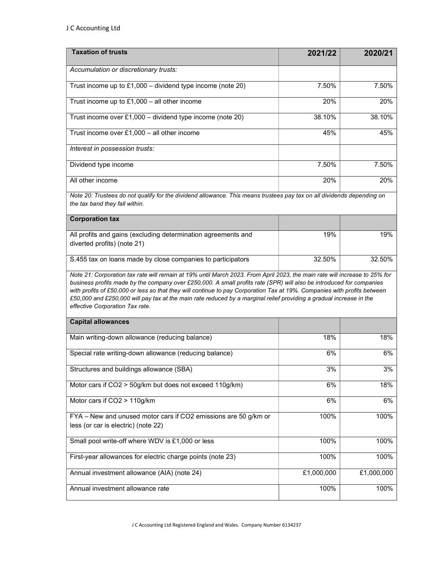| <b>Taxation of trusts</b>                                                                                                                                                                                                                                                                                                                                                                                                                                                                                                                | 2021/22    | 2020/21    |
|------------------------------------------------------------------------------------------------------------------------------------------------------------------------------------------------------------------------------------------------------------------------------------------------------------------------------------------------------------------------------------------------------------------------------------------------------------------------------------------------------------------------------------------|------------|------------|
| Accumulation or discretionary trusts:                                                                                                                                                                                                                                                                                                                                                                                                                                                                                                    |            |            |
| Trust income up to $£1,000 -$ dividend type income (note 20)                                                                                                                                                                                                                                                                                                                                                                                                                                                                             | 7.50%      | 7.50%      |
| Trust income up to $£1,000 -$ all other income                                                                                                                                                                                                                                                                                                                                                                                                                                                                                           | 20%        | 20%        |
| Trust income over $£1,000 -$ dividend type income (note 20)                                                                                                                                                                                                                                                                                                                                                                                                                                                                              | 38.10%     | 38.10%     |
| Trust income over £1,000 - all other income                                                                                                                                                                                                                                                                                                                                                                                                                                                                                              | 45%        | 45%        |
| Interest in possession trusts:                                                                                                                                                                                                                                                                                                                                                                                                                                                                                                           |            |            |
| Dividend type income                                                                                                                                                                                                                                                                                                                                                                                                                                                                                                                     | 7.50%      | 7.50%      |
| All other income                                                                                                                                                                                                                                                                                                                                                                                                                                                                                                                         | 20%        | 20%        |
| Note 20: Trustees do not qualify for the dividend allowance. This means trustees pay tax on all dividends depending on<br>the tax band they fall within.                                                                                                                                                                                                                                                                                                                                                                                 |            |            |
| <b>Corporation tax</b>                                                                                                                                                                                                                                                                                                                                                                                                                                                                                                                   |            |            |
| All profits and gains (excluding determination agreements and<br>diverted profits) (note 21)                                                                                                                                                                                                                                                                                                                                                                                                                                             | 19%        | 19%        |
| S.455 tax on loans made by close companies to participators                                                                                                                                                                                                                                                                                                                                                                                                                                                                              | 32.50%     | 32.50%     |
| Note 21: Corporation tax rate will remain at 19% until March 2023. From April 2023, the main rate will increase to 25% for<br>business profits made by the company over £250,000. A small profits rate (SPR) will also be introduced for companies<br>with profits of £50,000 or less so that they will continue to pay Corporation Tax at 19%. Companies with profits between<br>£50,000 and £250,000 will pay tax at the main rate reduced by a marginal relief providing a gradual increase in the<br>effective Corporation Tax rate. |            |            |
| <b>Capital allowances</b>                                                                                                                                                                                                                                                                                                                                                                                                                                                                                                                |            |            |
| Main writing-down allowance (reducing balance)                                                                                                                                                                                                                                                                                                                                                                                                                                                                                           | 18%        | 18%        |
| Special rate writing-down allowance (reducing balance)                                                                                                                                                                                                                                                                                                                                                                                                                                                                                   | 6%         | 6%         |
| Structures and buildings allowance (SBA)                                                                                                                                                                                                                                                                                                                                                                                                                                                                                                 | 3%         | 3%         |
| Motor cars if CO2 > 50g/km but does not exceed 110g/km)                                                                                                                                                                                                                                                                                                                                                                                                                                                                                  | 6%         | 18%        |
| Motor cars if CO2 > 110g/km                                                                                                                                                                                                                                                                                                                                                                                                                                                                                                              | 6%         | 6%         |
| FYA - New and unused motor cars if CO2 emissions are 50 g/km or<br>less (or car is electric) (note 22)                                                                                                                                                                                                                                                                                                                                                                                                                                   | 100%       | 100%       |
| Small pool write-off where WDV is £1,000 or less                                                                                                                                                                                                                                                                                                                                                                                                                                                                                         | 100%       | 100%       |
| First-year allowances for electric charge points (note 23)                                                                                                                                                                                                                                                                                                                                                                                                                                                                               | 100%       | 100%       |
| Annual investment allowance (AIA) (note 24)                                                                                                                                                                                                                                                                                                                                                                                                                                                                                              | £1,000,000 | £1,000,000 |
| Annual investment allowance rate                                                                                                                                                                                                                                                                                                                                                                                                                                                                                                         | 100%       | 100%       |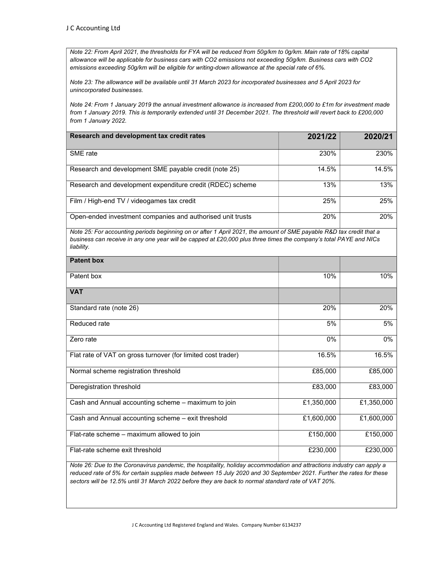Note 22: From April 2021, the thresholds for FYA will be reduced from 50g/km to 0g/km. Main rate of 18% capital allowance will be applicable for business cars with CO2 emissions not exceeding 50g/km. Business cars with CO2 emissions exceeding 50g/km will be eligible for writing-down allowance at the special rate of 6%.

Note 23: The allowance will be available until 31 March 2023 for incorporated businesses and 5 April 2023 for unincorporated businesses.

Note 24: From 1 January 2019 the annual investment allowance is increased from £200,000 to £1m for investment made from 1 January 2019. This is temporarily extended until 31 December 2021. The threshold will revert back to £200,000 from 1 January 2022.

| Research and development tax credit rates                  | 2021/22 | 2020/21 |
|------------------------------------------------------------|---------|---------|
| SME rate                                                   | 230%    | 230%    |
| Research and development SME payable credit (note 25)      | 14.5%   | 14.5%   |
| Research and development expenditure credit (RDEC) scheme  | 13%     | 13%     |
| Film / High-end TV / videogames tax credit                 | 25%     | 25%     |
| Open-ended investment companies and authorised unit trusts | 20%     | 20%     |

Note 25: For accounting periods beginning on or after 1 April 2021, the amount of SME payable R&D tax credit that a business can receive in any one year will be capped at £20,000 plus three times the company's total PAYE and NICs liability.

| <b>Patent box</b>                                            |            |            |
|--------------------------------------------------------------|------------|------------|
| Patent box                                                   | 10%        | 10%        |
| <b>VAT</b>                                                   |            |            |
| Standard rate (note 26)                                      | 20%        | 20%        |
| Reduced rate                                                 | 5%         | 5%         |
| Zero rate                                                    | 0%         | 0%         |
| Flat rate of VAT on gross turnover (for limited cost trader) | 16.5%      | 16.5%      |
| Normal scheme registration threshold                         | £85,000    | £85,000    |
| Deregistration threshold                                     | £83,000    | £83,000    |
| Cash and Annual accounting scheme - maximum to join          | £1,350,000 | £1,350,000 |
| Cash and Annual accounting scheme - exit threshold           | £1,600,000 | £1,600,000 |
| Flat-rate scheme - maximum allowed to join                   | £150,000   | £150,000   |
| Flat-rate scheme exit threshold                              | £230,000   | £230,000   |

Note 26: Due to the Coronavirus pandemic, the hospitality, holiday accommodation and attractions industry can apply a reduced rate of 5% for certain supplies made between 15 July 2020 and 30 September 2021. Further the rates for these sectors will be 12.5% until 31 March 2022 before they are back to normal standard rate of VAT 20%.